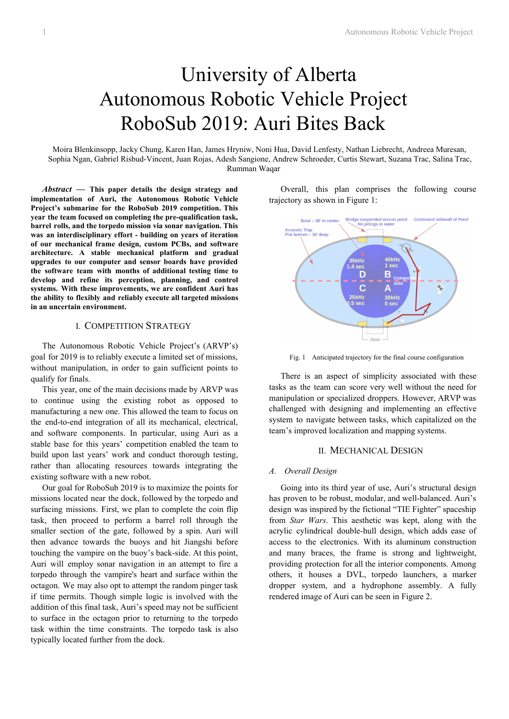# University of Alberta Autonomous Robotic Vehicle Project RoboSub 2019: Auri Bites Back

Moira Blenkinsopp, Jacky Chung, Karen Han, James Hryniw, Noni Hua, David Lenfesty, Nathan Liebrecht, Andreea Muresan, Sophia Ngan, Gabriel Risbud-Vincent, Juan Rojas, Adesh Sangione, Andrew Schroeder, Curtis Stewart, Suzana Trac, Salina Trac, Rumman Waqar

*Abstract* **— This paper details the design strategy and implementation of Auri, the Autonomous Robotic Vehicle Project's submarine for the RoboSub 2019 competition. This year the team focused on completing the pre-qualification task, barrel rolls, and the torpedo mission via sonar navigation. This was an interdisciplinary effort - building on years of iteration of our mechanical frame design, custom PCBs, and software architecture. A stable mechanical platform and gradual upgrades to our computer and sensor boards have provided the software team with months of additional testing time to develop and refine its perception, planning, and control systems. With these improvements, we are confident Auri has the ability to flexibly and reliably execute all targeted missions in an uncertain environment.**

# I. COMPETITION STRATEGY

The Autonomous Robotic Vehicle Project's (ARVP's) goal for 2019 is to reliably execute a limited set of missions, without manipulation, in order to gain sufficient points to qualify for finals.

This year, one of the main decisions made by ARVP was to continue using the existing robot as opposed to manufacturing a new one. This allowed the team to focus on the end-to-end integration of all its mechanical, electrical, and software components. In particular, using Auri as a stable base for this years' competition enabled the team to build upon last years' work and conduct thorough testing, rather than allocating resources towards integrating the existing software with a new robot.

Our goal for RoboSub 2019 is to maximize the points for missions located near the dock, followed by the torpedo and surfacing missions. First, we plan to complete the coin flip task, then proceed to perform a barrel roll through the smaller section of the gate, followed by a spin. Auri will then advance towards the buoys and hit Jiangshi before touching the vampire on the buoy's back-side. At this point, Auri will employ sonar navigation in an attempt to fire a torpedo through the vampire's heart and surface within the octagon. We may also opt to attempt the random pinger task if time permits. Though simple logic is involved with the addition of this final task, Auri's speed may not be sufficient to surface in the octagon prior to returning to the torpedo task within the time constraints. The torpedo task is also typically located further from the dock.

Overall, this plan comprises the following course trajectory as shown in Figure 1:



Fig. 1 Anticipated trajectory for the final course configuration

There is an aspect of simplicity associated with these tasks as the team can score very well without the need for manipulation or specialized droppers. However, ARVP was challenged with designing and implementing an effective system to navigate between tasks, which capitalized on the team's improved localization and mapping systems.

# II. MECHANICAL DESIGN

#### *A. Overall Design*

Going into its third year of use, Auri's structural design has proven to be robust, modular, and well-balanced. Auri's design was inspired by the fictional "TIE Fighter" spaceship from *Star Wars*. This aesthetic was kept, along with the acrylic cylindrical double-hull design, which adds ease of access to the electronics. With its aluminum construction and many braces, the frame is strong and lightweight, providing protection for all the interior components. Among others, it houses a DVL, torpedo launchers, a marker dropper system, and a hydrophone assembly. A fully rendered image of Auri can be seen in Figure 2.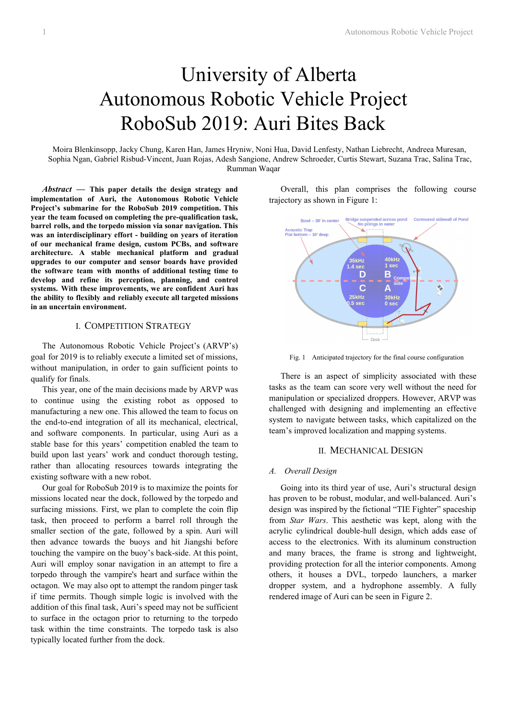

Fig. 2 Fully assembled render of Auri in SOLIDWORKS

#### *B. Sealing and Pressure Testing*

The waterproof enclosures on Auri, including its hull, battery pods, and bottom camera enclosure, are all sealed with a proven double o-ring seal on a cylindrical surface. The acrylic tubes allow clear visibility of the o-ring seal and even pressure distribution. Each enclosure has been fitted with a vent plug for ease of opening and closing and to allow for pressure testing. ARVP has modified a bicycle pump to interface with the vent plug, reversed it into a vacuum pump, and completed it with a pressure gauge. All enclosures are vacuum pressure tested before water exposure to ensure sufficient seals and prevent leaks.

# *C. Electronics Trays*

The 2019 front electronics tray was redesigned to support the new NVIDIA Jetson Xavier. The contour of the new tray complements the Xavier base and incorporates a platform on which the processor rests. The front tray was 3D printed with ASA, which has a smaller thermal expansion coefficient compared to ABS and PLA, therefore reducing thermal deformation and enhancing structural support.

The rear electronics tray was also redesigned to improve spatial efficiency. The electronics boards are mounted on 3D printed panels that slide onto brass rods in a triangular configuration. This arrangement allows for increased cable management by routing the wires through the central portion of the assembly. LED strips and leak detectors are mounted on the base ring to communicate information to the team and to detect the presence of water in the hull, respectively.

# *C. Torpedoes*

The torpedo assemblies were designed to be compact and symmetrical while delivering adequate pressure to launch the torpedoes. This is accomplished by using carbon

dioxide cartridges in a bucket changer directly mounted to an adjustable ASA regulator. Via several pipe fittings, the regulator is connected to a solenoid and then a steel tube with o-rings to hold the torpedoes. A 12 VDC electrical signal is used to actuate the solenoids, releasing the compressed gas and launching the torpedoes. Each assembly is attached to Auri with a 3D printed mounting bracket bolted into curved slots on the frame for easy adjustment of the firing angle.

# III. ELECTRICAL DESIGN

By the end of the 2018 Robosub competition, ARVP's electrical system was better than it had ever been before. The modular design enables rapid repairs and the addition of new features, which transformed it into a highly advanced and capable system. The goal of the 2018-2019 design year was to enhance the already robust system while increasing reliability by replacing aging components. New enhancements were made in the form of critical and non-critical power rails, the ability to hot-swap batteries on the go, a new communications hub for the Xavier processor, and the research and development of a new integrated ADC sonar board.

# *A. Power Distribution*

This year, a unique power distribution system was developed to allow for improved modularity. The new power regulation system consists of a series of converter cards that can be slotted into a single carrier board. At the center of each card is a buck-boost DC/DC switching regulator capable of achieving up to 98% efficiency. The output voltage of each card can be precisely set by using two resistors in series configuration. A major advantage of this system is that the on-system voltage rails allows for increased flexibility. With three card slots on the carrier board, one can configure three cards to output 12 V, 5 V, and 3.3 V. The cards and the slots are standardized such that any card can be plugged into any slot.

In addition to the three edge connectors, the carrier board contains supporting circuitry for each rail to create a critical and non-critical version of each voltage rail. Two of the three connection pairs are critical, meaning that power is supplied to connected devices even when the kill switch is removed. The third pair is a non-critical rail, meaning that any connected device will be denied power when the kill switch is pulled. Having a two-tier power system allows critical computer systems such as the Jetson Xavier to remain on, while shutting down non-critical systems such as the torpedo system, servos, and lights. A render of the card and carrier power distribution system is shown in Figure 3 below.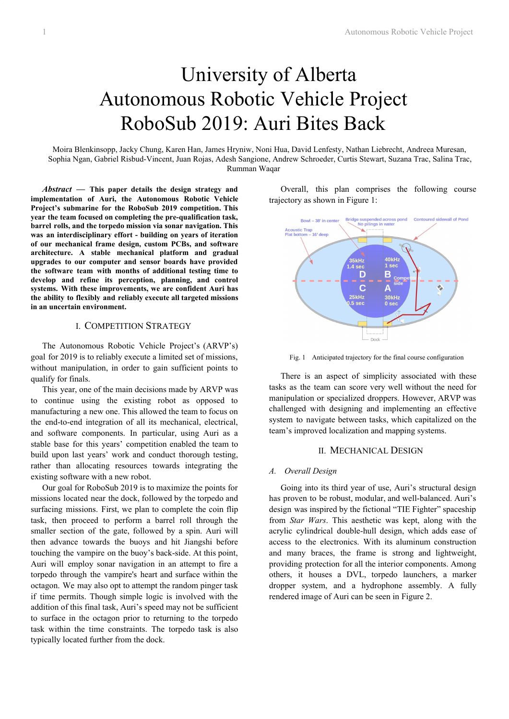

Fig. 3 Card and carrier power distribution system.

#### *B. Battery Hot-Swap System*

On the battery monitoring board, hot-swapping capability and reverse polarity protection was incorporated to the electronics battery rail and all battery rails, respectively. The hot-swapping was implemented using an LTC4418 IC. This IC connects one of two valid channels based on voltage and priority. The valid voltage range for each channel is determined using a resistor divider chain based on the hysteresis current of the IC. This prevents the batteries from discharging too far and is within the tolerance of the MOSFET switches.

# *C. Cable System and Battery Upgrades*

As Auri will be attending its third competition, it was in dire need of upgrades to its electrical systems. Many 18 AWG 3-phase power cables for the T200 Blue Robotics thrusters were beginning to rust as insulation was removed by the penetrators through continuous stress and strain. New cabling was installed for these thrusters with heat shrink wrap strategically placed near the penetrators for added strain relief. Additionally, expandable cable sleeving was used to route the 3-phase thruster wires to maintain effective cable organization and management, something with which the team has struggled in the past.

In past years, Auri has relied on custom-made 6400 mAh 4s 35C lithium-ion polymer batteries to supply the electrical systems and thrusters. However, these batteries were difficult to repair and were not readily available. As such, the team has transitioned to using ZIPPY Compact 6200 mAh 4s 40C lithium-ion polymer batteries. Though the battery capacity is slightly less, they are much easier to obtain and have been shown to have a lower internal resistance, thus reducing voltage sag under heavy current draw.

# IV. SOFTWARE DESIGN

The purchase of a Doppler Velocity Log (DVL) fundamentally changed ARVP's software architecture. In particular, the DVL made it possible to localize underwater, which led the team to convert the entire software system to a

map-oriented version of autonomy. As in previous years, the software is based on the open-source ROS framework, which provides a multitude of useful tools for robotics and allows for processes (nodes) to easily communicate via structured messages. This architecture naturally leads to the simple information pipeline shown in Figure 4:

| Perception                                                                     | Planning                        | Controls                                                              |
|--------------------------------------------------------------------------------|---------------------------------|-----------------------------------------------------------------------|
| Answers<br>Where are we?                                                       |                                 |                                                                       |
| What is around us?                                                             | What should we do?              | How do I do it?                                                       |
| <b>Nodes</b>                                                                   |                                 |                                                                       |
| Sensor Nodes<br>Localization Node<br>Vision Node<br>Mapping Node<br>Sonar Node | Planner Node                    | Motion Planner<br>LQR Controller<br><b>Actuator Nodes</b><br>LED Node |
|                                                                                | Fig. 4 ARVP's software pipeline |                                                                       |

Important components of our software architecture are highlighted below.

# *A. Perception*

#### *Computer Vision*

As the buoy and torpedo task contain distinctive features, our vision system was transitioned to an entirely deep learning-based system to allow for object detection. We continued to use YOLO [1], but changed the underlying model, reducing the required floating point operations for inference from  $3.5x10^{10}$  FLOPs to  $5x10^9$  FLOPs. Given the similarity of background features in aquatic images, a less generalized and smaller model was able to achieve precision comparable to last year's model while running two and a half times faster.

# *Localization*

This year, the team designed and implemented an Unscented Kalman Filter (UKF) [2] to better fuse the data from the depth sensor, IMU and DVL for robot localization. A constant linear acceleration and constant angular velocity 3D kinematics model [3] was used for the state transition model.

In the simulator, we were able to reduce the root mean square error of our positional states by roughly 30% after transitioning to this new system as shown in Figure 5:



Fig 5. Predicted positional states vs ground truth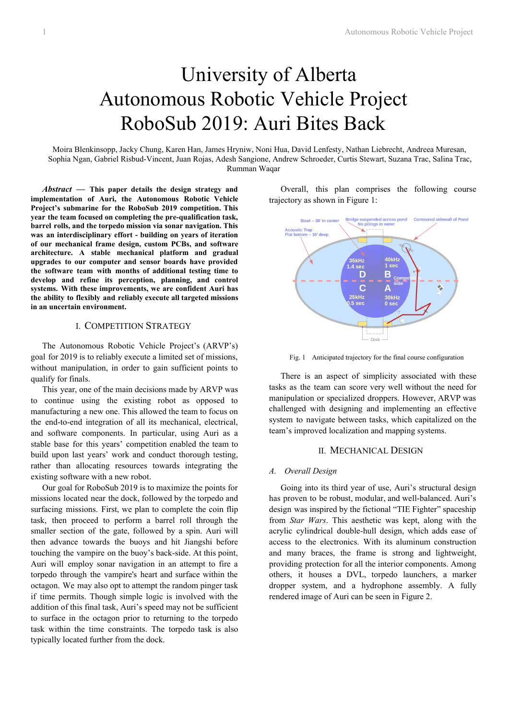#### *Mapping*

The mapping node is the main tracking interface between perception and planning. It is used to store and update positional estimates of all competition objects.

We estimate the position of competition elements using a 2D to 3D projections of their bounding boxes passed from the vision node. These estimates are fundamentally noisy, especially at a distance, so a simple covariance model in function of distance was used in conjunction with an iterative product of multivariate Gaussians [4] to converge upon the elements' true position. Since this is prone to converge on early false positives, a minimum covariance on all estimates was enforced (process noise).

The mapping system requires initial estimates as priors, but these estimates are rapidly updated and corrected through the many detections from the vision system. Figure 6 below shows the map as viewed by the robot, with the translucent blue spheres representing the 95% confidence intervals of each element.



Fig 6. Map Priors - Testing course (RViz)

#### *Passive Sonar*

This year, we made major algorithmic changes in our sound source localization algorithm. In order to compute the time difference of arrival (TDOA) for a hydrophone pair, we switched over to generalized cross-correlation with phase transform (GCC-PHAT) [5] as given by:

$$
R_{x1,x2}(t') = \sum_{f=1}^{F} \frac{\Phi_{x1,x2}(f)}{|\Phi_{x1,x1}(f)|} e^{\alpha(t')} \text{, where } \Phi_{x1,x2} \text{ is the cross}
$$

power spectral density of the two signals. The TDOA estimate is then the maximization of this function over the unknown time delay  $t' : \hat{\tau} = argmax_{t} R_{x1,x2}(t')$ . The position of the sound source *(S)* can then be calculated by solving the equation:  $v\hat{\tau} = |S - M_1| - |S - M_2|$ , where  $M_1$  and  $M_2$  are the locations of the hydrophones and  $\nu$  is the velocity of sound underwater. The equation develops into a two-sheet hyperboloid with foci in  $M_1$  and  $M_2$  and the sound source is on this surface. We can simplify this equation to a hyperbole by only considering the sound on the azimuthal plane (plane containing the microphones). Using two sets of hyperbole from our two pairs of hydrophones, the location of the sound source is the intersection of the two curves. Note that

this returns two solutions. By using an initial estimate we are able to pick the correct solution.

To further improve our performance, we added a sound source tracking with a Sequential Importance Resampling (SIR) particle filter [6]. This made our system much more resilient to missing ping data as well as outliers. Figure 7 shows how initial estimates of the pinger location are narrowed down using the passive sonar system.



# *B. Planning*

This year, the team decided to upgrade our planning model from a graphical user interface (GUI) driven finite state machine (FSM) to a completely code-based and event driven solution in C++. This new model allowed us to scale our planning system while still handling asynchronous events including timeouts in a robust way.

By the end of last year, the team struggled with increasing the size and complexity of using the graph-based Rcommander GUI [7]. As more nodes were added, the FSMs became difficult to decipher and would lag the application significantly. Also, a lack of static checks would lead to frequent bugs. For example, it was easy to forget to handle error conditions such as timeouts which would cause a hang and thus fail the entire mission. To remedy this issue, we decided to simplify our mission planner and move towards a purely code-based solution with more static checks and guarantees.

For the new code-based mission planner, we were able to take advantage of the new *boost::outcome* library, which provided a solid framework to enable compile time error handling guarantees. This way, a developer would not forget to handle an error condition such as a timeout.

Beyond static checks, a key innovation in the new code-based planning system was to abstract the concept of time from mission development. In particular, state machines and other loop-based techniques have difficulty handling multiple asynchronous events like ROS messages and timeouts simultaneously. Taking inspiration from two highly asynchronous languages, Golang and node.js, this problem was solved by building an event handling system around Linux's poll(2) system call. Simply put, any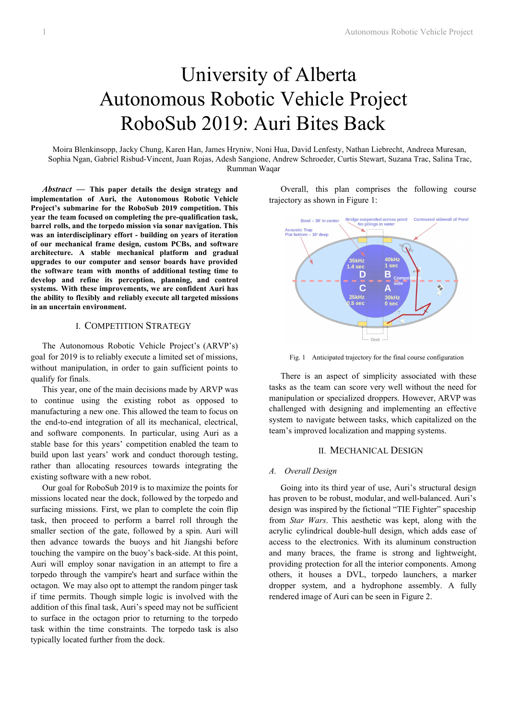asynchronous operation such as a remote procedure call or a timeout is wrapped in a Linux file descriptor such as eventfd $(2)$  or timerfd create $(2)$  and waited-on with a "select" function having similar semantics to go's select keyword. Furthermore, the entire system is single threaded as a result of Linux's poll(2) system call. This single threaded execution model eliminates the need to incorporate memory synchronization, greatly reducing the cognitive load on the developer.

# *C. Control*

# *LQR Control*

For low level controls, the team focused on improving the functionality of Auri's Linear Quadratic Regulator (LQR) control system. For instance, the control inputs were normalized to better hold target velocities. This allowed the integration of the motion planning system, which uses velocity control. Also, the controller was updated to support arbitrary thruster configurations. This made it possible to evaluate different thruster configurations in the simulator, with the goal of determining which thruster configurations could be used to optimize the controllability of the vehicle.

#### *Motion Planning*

A setback with using LQR control for positional control is that there was no way to control the path the robot would take to move to its goal. This often resulted in very unpredictable and inefficient movement from the robot. In order to remedy this problem, we integrated the ROS based motion planning library move-base into our stack. We used the dynamic window approach (DWA) algorithm [8] for local robot navigation. This generates velocity commands to send to the LQR controller. The addition of the motion planner made it possible to have much more control over the robot's overall movement and has allowed the team to obtain more consistent results when performing missions.

# V. EXPERIMENTAL RESULTS

Given ARVP's focus on conducting more thorough and frequent software testing, improving Auri's mechanical and electrical reliability were top priorities this year. In order to maximize in-pool testing time, Auri had to be functionable and operable to maintain a weekly testing cadence. This reliability was achieved by scheduling mechanical and electrical system "cut-over" weeks in which the two teams would radically change the robot frame and electronics within one week so as to minimize the robot's downtime.

Since last year, new thruster guards, additional cross bracing and better buoyancy adjustment mechanisms have all helped increase the reliability of the mechanical frame. Notably, the team now relies on checklists and streamlined procedures such as vacuum pressure tests and motor tests to

ensure that all systems are functioning properly before all pool tests.

As usual, unit tests, simulation and continuous integration are the backbone of ARVP's testing infrastructure. Overall, the team created dozens of unit tests, ran over 2000 continuous integration (CI) jobs, and tested our robot in the simulator for upwards of 1500 hours. However, real-world tests are still critical to the team's software development. The club has accumulated about 60 hours of total pool testing in an olympic-size dive tank. Since early May, these tests have been run twice a week with weekday tests focusing on motion planning and control, while weekend tests focused on testing continuous missions with a full course setup.

#### VI. ACKNOWLEDGEMENTS

It has taken many years for ARVP to flourish into the streamlined, self-sufficient organization that it is today. Beyond the dedication and contribution of the team members, the group could not have done any of its work without the support of many partners, advisors and mentors.

In particular, ARVP would like the thank the Faculty of Engineering at the University of Alberta and its staff for providing generous funding, space, and tools so the team can do its best work. In particular, Raymond Matthias, Erin Lee, Rebecca Blanchette and Don Villacencio have been key allies throughout the year. We would also like to thank our advisor Dr. Bob Koch for all his help with approvals and advice regarding the team's control system and Robert Donovan for his ongoing support both as a mentor and as a diver during our pool tests.

Finally, we would also like to recognize all our corporate donors, without whom our robot would be made of sticks:

- Gold Sponsors: APEGA Foundation
- Silver Sponsors: Shell Canada, Honda Canada, Nortek, Rail Services Co., Travis CI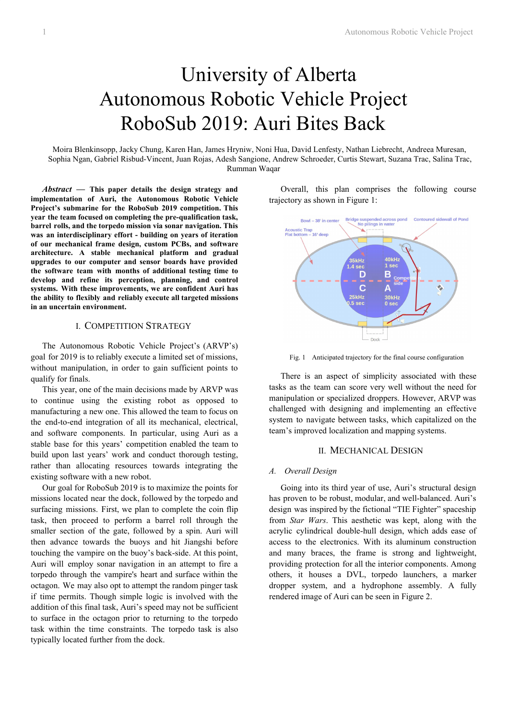# **REFERENCES**

[1] J. Redmon, S. Divvala, R. Girshick, and A. Farhadi, "You Only Look Once: Unified, Real-Time Object Detection," 2016 IEEE Conference on Computer Vision and Pattern Recognition (CVPR), 2016.

[2] E. Wan and R. Merwe, "The Unscented Kalman Filter for Nonlinear Estimation," Proceedings of the IEEE 2000 Adaptive Systems for Signal Processing, Communications, and Control Symposium (Cat. No. 00EX373). IEEE, 2000.

[3] T. Fossen, "Handbook of marine craft hydrodynamics and motion control" 1st ed. Chichester, West Sussex: Wiley, 2011, Section 2.2.1.

[4] C. E. Rasmussen and C. K. I. Williams, "Gaussian Processes for Machine Learning". The MIT Press, 2006.

[5] C. Knapp and G. Carter, "The generalized correlation method for estimation of time delay", IEEE Transactions on Acoustics 1976, Speech and Signal Processing ASSP-24(4), 320-327.

[6] N. Gordon, D. Salmond, A. Smith, "Novel approach to nonlinear/non-Gaussian Bayesian state estimation". IEEE Proceedings F on Radar and Signal Processing 1993 140(2), 107–113.

[7] H. Nguyen, "RCommander: a Photoshop for Robots" [Online]. Available: http://wiki.ros.org/rcommander

\_core. [Accessed: July 8, 2019].

[8] D. Fox, W. Burgard, and S. Thrun. "The dynamic window approach to collision avoidance". Technical Report IAI-TR-95-13, University of Bonn 1995.